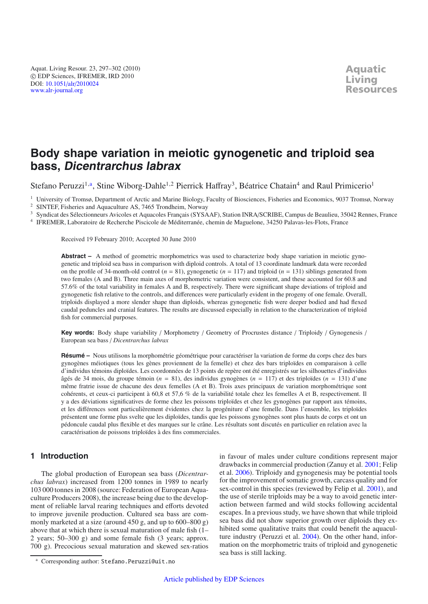# **Body shape variation in meiotic gynogenetic and triploid sea bass, Dicentrarchus labrax**

Stefano Peruzzi<sup>1,a</sup>, Stine Wiborg-Dahle<sup>1,2</sup> Pierrick Haffray<sup>3</sup>, Béatrice Chatain<sup>4</sup> and Raul Primicerio<sup>1</sup>

<sup>1</sup> University of Tromsø, Department of Arctic and Marine Biology, Faculty of Biosciences, Fisheries and Economics, 9037 Tromsø, Norway

<sup>2</sup> SINTEF, Fisheries and Aquaculture AS, 7465 Trondheim, Norway<br><sup>3</sup> Syndicat des Sélectionneurs Avicoles et Aquacoles François (SVS A

<sup>3</sup> Syndicat des Sélectionneurs Avicoles et Aquacoles Français (SYSAAF), Station INRA/SCRIBE, Campus de Beaulieu, 35042 Rennes, France

<sup>4</sup> IFREMER, Laboratoire de Recherche Piscicole de Méditerranée, chemin de Maguelone, 34250 Palavas-les-Flots, France

Received 19 February 2010; Accepted 30 June 2010

**Abstract** – A method of geometric morphometrics was used to characterize body shape variation in meiotic gynogenetic and triploid sea bass in comparison with diploid controls. A total of 13 coordinate landmark data were recorded on the profile of 34-month-old control  $(n = 81)$ , gynogenetic  $(n = 117)$  and triploid  $(n = 131)$  siblings generated from two females (A and B). Three main axes of morphometric variation were consistent, and these accounted for 60.8 and 57.6% of the total variability in females A and B, respectively. There were significant shape deviations of triploid and gynogenetic fish relative to the controls, and differences were particularly evident in the progeny of one female. Overall, triploids displayed a more slender shape than diploids, whereas gynogenetic fish were deeper bodied and had flexed caudal peduncles and cranial features. The results are discussed especially in relation to the characterization of triploid fish for commercial purposes.

**Key words:** Body shape variability / Morphometry / Geometry of Procrustes distance / Triploidy / Gynogenesis / European sea bass / *Dicentrarchus labrax*

**Résumé –** Nous utilisons la morphométrie géométrique pour caractériser la variation de forme du corps chez des bars gynogènes méiotiques (tous les gènes proviennent de la femelle) et chez des bars triploïdes en comparaison à celle d'individus témoins diploïdes. Les coordonnées de 13 points de repère ont été enregistrés sur les silhouettes d'individus âgés de 34 mois, du groupe témoin (*n* = 81), des individus gynogènes (*n* = 117) et des triploïdes (*n* = 131) d'une même fratrie issue de chacune des deux femelles (A et B). Trois axes principaux de variation morphométrique sont cohérents, et ceux-ci participent à 60,8 et 57,6 % de la variabilité totale chez les femelles A et B, respectivement. Il y a des déviations significatives de forme chez les poissons triploïdes et chez les gynogènes par rapport aux témoins, et les différences sont particulièrement évidentes chez la progéniture d'une femelle. Dans l'ensemble, les triploïdes présentent une forme plus svelte que les diploïdes, tandis que les poissons gynogènes sont plus hauts de corps et ont un pédoncule caudal plus flexible et des marques sur le crâne. Les résultats sont discutés en particulier en relation avec la caractérisation de poissons triploïdes à des fins commerciales.

# **1 Introduction**

The global production of European sea bass (*Dicentrarchus labrax*) increased from 1200 tonnes in 1989 to nearly 103 000 tonnes in 2008 (source: Federation of European Aquaculture Producers 2008), the increase being due to the development of reliable larval rearing techniques and efforts devoted to improve juvenile production. Cultured sea bass are commonly marketed at a size (around 450 g, and up to 600–800 g) above that at which there is sexual maturation of male fish (1– 2 years; 50–300 g) and some female fish (3 years; approx. 700 g). Precocious sexual maturation and skewed sex-ratios in favour of males under culture conditions represent major drawbacks in commercial production (Zanuy et al. [2001;](#page-5-0) Felip et al. [2006\)](#page-4-0). Triploidy and gynogenesis may be potential tools for the improvement of somatic growth, carcass quality and for sex-control in this species (reviewed by Felip et al. [2001](#page-4-1)), and the use of sterile triploids may be a way to avoid genetic interaction between farmed and wild stocks following accidental escapes. In a previous study, we have shown that while triploid sea bass did not show superior growth over diploids they exhibited some qualitative traits that could benefit the aquaculture industry (Peruzzi et al. [2004\)](#page-4-2). On the other hand, information on the morphometric traits of triploid and gynogenetic sea bass is still lacking.

<sup>a</sup> Corresponding author: Stefano.Peruzzi@uit.no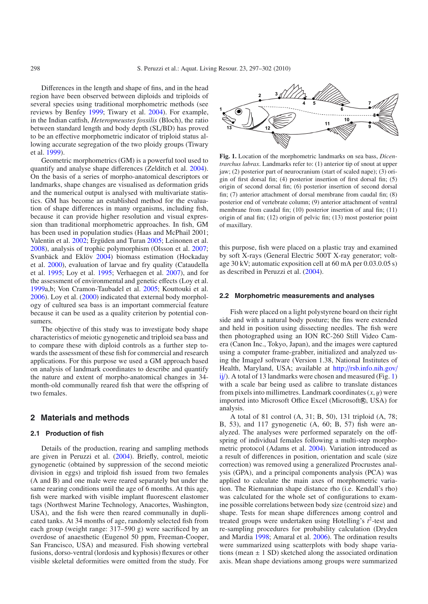Differences in the length and shape of fins, and in the head region have been observed between diploids and triploids of several species using traditional morphometric methods (see reviews by Benfey [1999](#page-4-3); Tiwary et al. [2004\)](#page-5-1). For example, in the Indian catfish, *Heteropneustes fossilis* (Bloch), the ratio between standard length and body depth (SL/BD) has proved to be an effective morphometric indicator of triploid status allowing accurate segregation of the two ploidy groups (Tiwary et al. [1999](#page-5-2)).

Geometric morphometrics (GM) is a powerful tool used to quantify and analyse shape differences (Zelditch et al. [2004](#page-5-3)). On the basis of a series of morpho-anatomical descriptors or landmarks, shape changes are visualised as deformation grids and the numerical output is analysed with multivariate statistics. GM has become an established method for the evaluation of shape differences in many organisms, including fish, because it can provide higher resolution and visual expression than traditional morphometric approaches. In fish, GM has been used in population studies (Haas and McPhail 2001; Valentin et al. [2002;](#page-5-4) Ergüden and Turan [2005;](#page-4-4) Leinonen et al. [2008\)](#page-4-5), analysis of trophic polymorphism (Olsson et al. [2007](#page-4-6); Svanbäck and Eklöv [2004\)](#page-5-5) biomass estimation (Hockaday et al. [2000\)](#page-4-7), evaluation of larvae and fry quality (Cataudella et al. [1995;](#page-4-8) Loy et al. [1995;](#page-4-9) Verhaegen et al. [2007](#page-5-6)), and for the assessment of environmental and genetic effects (Loy et al. [1999a](#page-4-10),b; Von Cramon-Taubadel et al. [2005;](#page-5-7) Kouttouki et al. [2006\)](#page-4-11). Loy et al. [\(2000](#page-4-12)) indicated that external body morphology of cultured sea bass is an important commercial feature because it can be used as a quality criterion by potential consumers.

The objective of this study was to investigate body shape characteristics of meiotic gynogenetic and triploid sea bass and to compare these with diploid controls as a further step towards the assessment of these fish for commercial and research applications. For this purpose we used a GM approach based on analysis of landmark coordinates to describe and quantify the nature and extent of morpho-anatomical changes in 34 month-old communally reared fish that were the offspring of two females.

## **2 Materials and methods**

## **2.1 Production of fish**

Details of the production, rearing and sampling methods are given in Peruzzi et al. [\(2004\)](#page-4-2). Briefly, control, meiotic gynogenetic (obtained by suppression of the second meiotic division in eggs) and triploid fish issued from two females (A and B) and one male were reared separately but under the same rearing conditions until the age of 6 months. At this age, fish were marked with visible implant fluorescent elastomer tags (Northwest Marine Technology, Anacortes, Washington, USA), and the fish were then reared communally in duplicated tanks. At 34 months of age, randomly selected fish from each group (weight range: 317–590 g) were sacrificed by an overdose of anaesthetic (Eugenol 50 ppm, Freeman-Cooper, San Francisco, USA) and measured. Fish showing vertebral fusions, dorso-ventral (lordosis and kyphosis) flexures or other visible skeletal deformities were omitted from the study. For

<span id="page-1-0"></span>

**Fig. 1.** Location of the morphometric landmarks on sea bass, *Dicentrarchus labrax*. Landmarks refer to: (1) anterior tip of snout at upper jaw; (2) posterior part of neurocranium (start of scaled nape); (3) origin of first dorsal fin; (4) posterior insertion of first dorsal fin; (5) origin of second dorsal fin; (6) posterior insertion of second dorsal fin; (7) anterior attachment of dorsal membrane from caudal fin; (8) posterior end of vertebrate column; (9) anterior attachment of ventral membrane from caudal fin; (10) posterior insertion of anal fin; (11) origin of anal fin; (12) origin of pelvic fin; (13) most posterior point of maxillary.

this purpose, fish were placed on a plastic tray and examined by soft X-rays (General Electric 500T X-ray generator; voltage 30 kV; automatic exposition cell at 60 mA per 0.03.0.05 s) as described in Peruzzi et al. [\(2004\)](#page-4-2).

#### **2.2 Morphometric measurements and analyses**

Fish were placed on a light polystyrene board on their right side and with a natural body posture; the fins were extended and held in position using dissecting needles. The fish were then photographed using an ION RC-260 Still Video Camera (Canon Inc., Tokyo, Japan), and the images were captured using a computer frame-grabber, initialized and analyzed using the ImageJ software (Version 1.38, National Institutes of Health, Maryland, USA; available at http://[rsb.info.nih.gov](http://rsb.info.nih.gov/ij/)/  $ii/$ ). A total of 13 landmarks were chosen and measured (Fig. [1\)](#page-1-0) with a scale bar being used as calibre to translate distances from pixels into millimetres. Landmark coordinates  $(x, y)$  were imported into Microsoft Office Excel (Microsoft®, USA) for analysis.

A total of 81 control (A, 31; B, 50), 131 triploid (A, 78; B, 53), and 117 gynogenetic (A, 60; B, 57) fish were analyzed. The analyses were performed separately on the offspring of individual females following a multi-step morphometric protocol (Adams et al. [2004\)](#page-4-13). Variation introduced as a result of differences in position, orientation and scale (size correction) was removed using a generalized Procrustes analysis (GPA), and a principal components analysis (PCA) was applied to calculate the main axes of morphometric variation. The Riemannian shape distance rho (i.e. Kendall's rho) was calculated for the whole set of configurations to examine possible correlations between body size (centroid size) and shape. Tests for mean shape differences among control and treated groups were undertaken using Hotelling's  $t^2$ -test and re-sampling procedures for probability calculation (Dryden and Mardia [1998;](#page-4-14) Amaral et al. [2006\)](#page-4-15). The ordination results were summarized using scatterplots with body shape variations (mean  $\pm$  1 SD) sketched along the associated ordination axis. Mean shape deviations among groups were summarized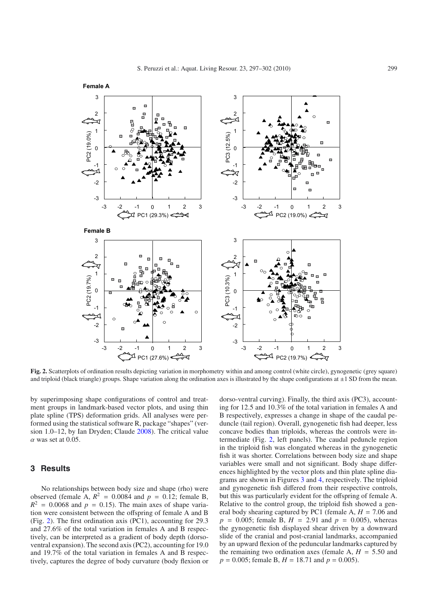

<span id="page-2-0"></span>**Fig. 2.** Scatterplots of ordination results depicting variation in morphometry within and among control (white circle), gynogenetic (grey square) and triploid (black triangle) groups. Shape variation along the ordination axes is illustrated by the shape configurations at  $\pm 1$  SD from the mean.

by superimposing shape configurations of control and treatment groups in landmark-based vector plots, and using thin plate spline (TPS) deformation grids. All analyses were performed using the statistical software R, package "shapes" (version 1.0–12, by Ian Dryden; Claude [2008\)](#page-4-16). The critical value  $\alpha$  was set at 0.05.

## **3 Results**

No relationships between body size and shape (rho) were observed (female A,  $R^2 = 0.0084$  and  $p = 0.12$ ; female B,  $R^2$  = 0.0068 and  $p = 0.15$ ). The main axes of shape variation were consistent between the offspring of female A and B (Fig. [2\)](#page-2-0). The first ordination axis (PC1), accounting for 29.3 and 27.6% of the total variation in females A and B respectively, can be interpreted as a gradient of body depth (dorsoventral expansion). The second axis (PC2), accounting for 19.0 and 19.7% of the total variation in females A and B respectively, captures the degree of body curvature (body flexion or

dorso-ventral curving). Finally, the third axis (PC3), accounting for 12.5 and 10.3% of the total variation in females A and B respectively, expresses a change in shape of the caudal peduncle (tail region). Overall, gynogenetic fish had deeper, less concave bodies than triploids, whereas the controls were intermediate (Fig. [2,](#page-2-0) left panels). The caudal peduncle region in the triploid fish was elongated whereas in the gynogenetic fish it was shorter. Correlations between body size and shape variables were small and not significant. Body shape differences highlighted by the vector plots and thin plate spline diagrams are shown in Figures [3](#page-3-0) and [4,](#page-3-1) respectively. The triploid and gynogenetic fish differed from their respective controls, but this was particularly evident for the offspring of female A. Relative to the control group, the triploid fish showed a general body shearing captured by PC1 (female A, *H* = 7.06 and  $p = 0.005$ ; female B,  $H = 2.91$  and  $p = 0.005$ ), whereas the gynogenetic fish displayed shear driven by a downward slide of the cranial and post-cranial landmarks, accompanied by an upward flexion of the peduncular landmarks captured by the remaining two ordination axes (female A,  $H = 5.50$  and *p* = 0.005; female B, *H* = 18.71 and *p* = 0.005).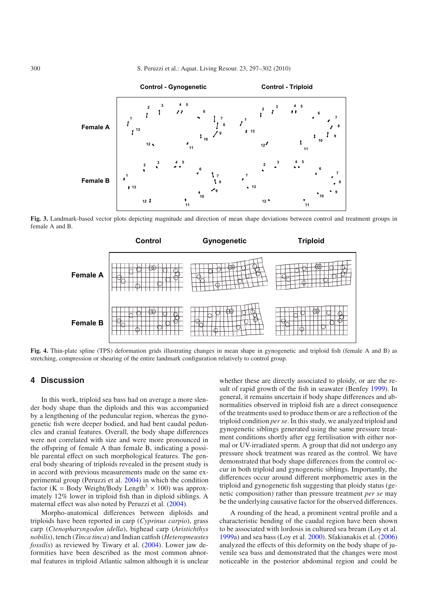<span id="page-3-0"></span>

<span id="page-3-1"></span>**Fig. 3.** Landmark-based vector plots depicting magnitude and direction of mean shape deviations between control and treatment groups in female A and B.



**Fig. 4.** Thin-plate spline (TPS) deformation grids illustrating changes in mean shape in gynogenetic and triploid fish (female A and B) as stretching, compression or shearing of the entire landmark configuration relatively to control group.

# **4 Discussion**

In this work, triploid sea bass had on average a more slender body shape than the diploids and this was accompanied by a lengthening of the peduncular region, whereas the gynogenetic fish were deeper bodied, and had bent caudal peduncles and cranial features. Overall, the body shape differences were not correlated with size and were more pronounced in the offspring of female A than female B, indicating a possible parental effect on such morphological features. The general body shearing of triploids revealed in the present study is in accord with previous measurements made on the same experimental group (Peruzzi et al. [2004\)](#page-4-2) in which the condition factor (K = Body Weight/Body Length<sup>3</sup>  $\times$  100) was approximately 12% lower in triploid fish than in diploid siblings. A maternal effect was also noted by Peruzzi et al. [\(2004\)](#page-4-2).

Morpho-anatomical differences between diploids and triploids have been reported in carp (*Cyprinus carpio*), grass carp (*Ctenopharyngodon idella*), bighead carp (*Aristichthys nobilis*), tench (*Tinca tinca*) and Indian catfish (*Heteropneustes fossilis*) as reviewed by Tiwary et al. [\(2004\)](#page-5-1). Lower jaw deformities have been described as the most common abnormal features in triploid Atlantic salmon although it is unclear whether these are directly associated to ploidy, or are the result of rapid growth of the fish in seawater (Benfey [1999\)](#page-4-3). In general, it remains uncertain if body shape differences and abnormalities observed in triploid fish are a direct consequence of the treatments used to produce them or are a reflection of the triploid condition *per se*. In this study, we analyzed triploid and gynogenetic siblings generated using the same pressure treatment conditions shortly after egg fertilisation with either normal or UV-irradiated sperm. A group that did not undergo any pressure shock treatment was reared as the control. We have demonstrated that body shape differences from the control occur in both triploid and gynogenetic siblings. Importantly, the differences occur around different morphometric axes in the triploid and gynogenetic fish suggesting that ploidy status (genetic composition) rather than pressure treatment *per se* may be the underlying causative factor for the observed differences.

A rounding of the head, a prominent ventral profile and a characteristic bending of the caudal region have been shown to be associated with lordosis in cultured sea bream (Loy et al. [1999a](#page-4-10)) and sea bass (Loy et al. [2000\)](#page-4-12). Sfakianakis et al. [\(2006\)](#page-5-8) analyzed the effects of this deformity on the body shape of juvenile sea bass and demonstrated that the changes were most noticeable in the posterior abdominal region and could be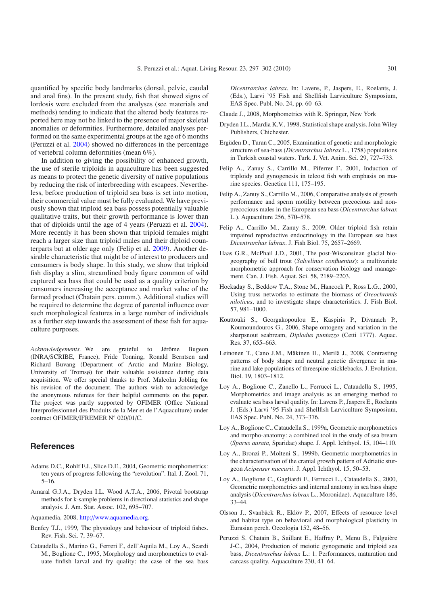quantified by specific body landmarks (dorsal, pelvic, caudal and anal fins). In the present study, fish that showed signs of lordosis were excluded from the analyses (see materials and methods) tending to indicate that the altered body features reported here may not be linked to the presence of major skeletal anomalies or deformities. Furthermore, detailed analyses performed on the same experimental groups at the age of 6 months (Peruzzi et al. [2004\)](#page-4-2) showed no differences in the percentage of vertebral column deformities (mean 6%).

In addition to giving the possibility of enhanced growth, the use of sterile triploids in aquaculture has been suggested as means to protect the genetic diversity of native populations by reducing the risk of interbreeding with escapees. Nevertheless, before production of triploid sea bass is set into motion, their commercial value must be fully evaluated. We have previously shown that triploid sea bass possess potentially valuable qualitative traits, but their growth performance is lower than that of diploids until the age of 4 years (Peruzzi et al. [2004](#page-4-2)). More recently it has been shown that triploid females might reach a larger size than triploid males and their diploid counterparts but at older age only (Felip et al. [2009\)](#page-4-17). Another desirable characteristic that might be of interest to producers and consumers is body shape. In this study, we show that triploid fish display a slim, streamlined body figure common of wild captured sea bass that could be used as a quality criterion by consumers increasing the acceptance and market value of the farmed product (Chatain pers. comm.). Additional studies will be required to determine the degree of parental influence over such morphological features in a large number of individuals as a further step towards the assessment of these fish for aquaculture purposes.

*Acknowledgements.* We are grateful to Jérôme Bugeon (INRA/SCRIBE, France), Fride Tonning, Ronald Berntsen and Richard Buvang (Department of Arctic and Marine Biology, University of Tromsø) for their valuable assistance during data acquisition. We offer special thanks to Prof. Malcolm Jobling for his revision of the document. The authors wish to acknowledge the anonymous referees for their helpful comments on the paper. The project was partly supported by OFIMER (Office National Interprofessionnel des Produits de la Mer et de l'Aquaculture) under contract OFIMER/IFREMER N◦ 020/01/C.

## **References**

- <span id="page-4-13"></span>Adams D.C., Rohlf F.J., Slice D.E., 2004, Geometric morphometrics: ten years of progress following the "revolution". Ital. J. Zool. 71, 5–16.
- <span id="page-4-15"></span>Amaral G.J.A., Dryden I.L. Wood A.T.A., 2006, Pivotal bootstrap methods for k-sample problems in directional statistics and shape analysis. J. Am. Stat. Assoc. 102, 695–707.

Aquamedia, 2008, http://[www.aquamedia.org.](http://www.aquamedia.org)

- <span id="page-4-3"></span>Benfey T.J., 1999, The physiology and behaviour of triploid fishes. Rev. Fish. Sci. 7, 39–67.
- <span id="page-4-8"></span>Cataudella S., Marino G., Ferreri F., dell'Aquila M., Loy A., Scardi M., Boglione C., 1995, Morphology and morphometrics to evaluate finfish larval and fry quality: the case of the sea bass

*Dicentrarchus labrax*. In: Lavens, P., Jaspers, E., Roelants, J. (Eds.), Larvi '95 Fish and Shellfish Larviculture Symposium, EAS Spec. Publ. No. 24, pp. 60–63.

<span id="page-4-16"></span>Claude J., 2008, Morphometrics with R. Springer, New York

- <span id="page-4-14"></span>Dryden I.L., Mardia K.V., 1998, Statistical shape analysis. John Wiley Publishers, Chichester.
- <span id="page-4-4"></span>Ergüden D., Turan C., 2005, Examination of genetic and morphologic structure of sea-bass (*Dicentrarchus labrax* L., 1758) populations in Turkish coastal waters. Turk. J. Vet. Anim. Sci. 29, 727–733.
- <span id="page-4-1"></span>Felip A., Zanuy S., Carrillo M., Piferrer F., 2001, Induction of triploidy and gynogenesis in teleost fish with emphasis on marine species. Genetica 111, 175–195.
- <span id="page-4-0"></span>Felip A., Zanuy S., Carrillo M., 2006, Comparative analysis of growth performance and sperm motility between precocious and nonprecocious males in the European sea bass (*Dicentrarchus labrax* L.). Aquaculture 256, 570–578.
- <span id="page-4-17"></span>Felip A., Carrillo M., Zanuy S., 2009, Older triploid fish retain impaired reproductive endocrinology in the European sea bass *Dicentrarchus labrax*. J. Fish Biol. 75, 2657–2669.
- Haas G.R., McPhail J.D., 2001, The post-Wisconsinan glacial biogeography of bull trout (*Salvelinus confluentus*): a multivariate morphometric approach for conservation biology and management. Can. J. Fish. Aquat. Sci. 58, 2189–2203.
- <span id="page-4-7"></span>Hockaday S., Beddow T.A., Stone M., Hancock P., Ross L.G., 2000, Using truss networks to estimate the biomass of *Oreochromis niloticus*, and to investigate shape characteristics. J. Fish Biol. 57, 981–1000.
- <span id="page-4-11"></span>Kouttouki S., Georgakopoulou E., Kaspiris P., Divanach P., Koumoundouros G., 2006, Shape ontogeny and variation in the sharpsnout seabream, *Diplodus puntazzo* (Cetti 1777). Aquac. Res. 37, 655–663.
- <span id="page-4-5"></span>Leinonen T., Cano J.M., Mäkinen H., Merilä J., 2008, Contrasting patterns of body shape and neutral genetic divergence in marine and lake populations of threespine sticklebacks. J. Evolution. Biol. 19, 1803–1812.
- <span id="page-4-9"></span>Loy A., Boglione C., Zanello L., Ferrucci L., Cataudella S., 1995, Morphometrics and image analysis as an emerging method to evaluate sea bass larval quality. In: Lavens P., Jaspers E., Roelants J. (Eds.) Larvi '95 Fish and Shellfish Larviculture Symposium, EAS Spec. Publ. No. 24, 373–376.
- <span id="page-4-10"></span>Loy A., Boglione C., Cataudella S., 1999a, Geometric morphometrics and morpho-anatomy: a combined tool in the study of sea bream (*Sparus aurata*, Sparidae) shape. J. Appl. Ichthyol. 15, 104–110.
- Loy A., Bronzi P., Molteni S., 1999b, Geometric morphometrics in the characterisation of the cranial growth pattern of Adriatic sturgeon *Acipenser naccarii*. J. Appl. Ichthyol. 15, 50–53.
- <span id="page-4-12"></span>Loy A., Boglione C., Gagliardi F., Ferrucci L., Cataudella S., 2000, Geometric morphometrics and internal anatomy in sea bass shape analysis (*Dicentrarchus labrax* L., Moronidae). Aquaculture 186, 33–44.
- <span id="page-4-6"></span>Olsson J., Svanbäck R., Eklöv P., 2007, Effects of resource level and habitat type on behavioral and morphological plasticity in Eurasian perch. Oecologia 152, 48–56.
- <span id="page-4-2"></span>Peruzzi S. Chatain B., Saillant E., Haffray P., Menu B., Falguière J-C., 2004, Production of meiotic gynogenetic and triploid sea bass, *Dicentrarchus labrax* L.: 1. Performances, maturation and carcass quality. Aquaculture 230, 41–64.